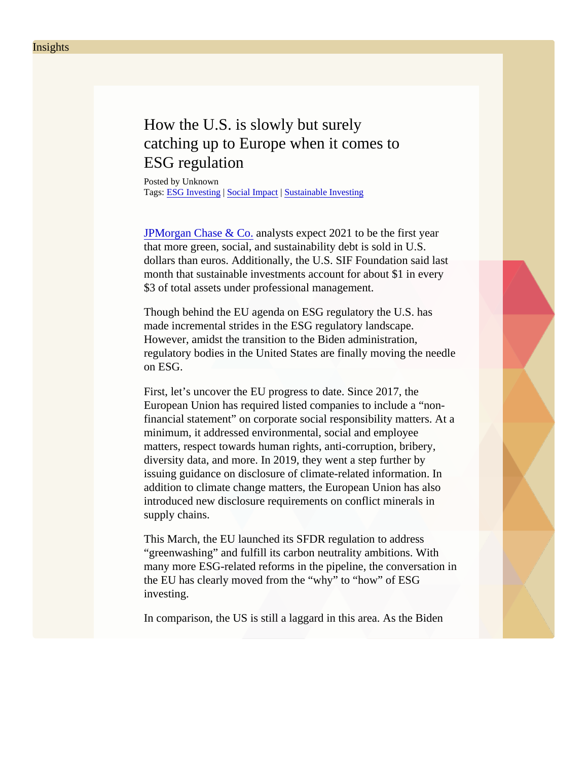## How the U.S. is slowly but surely catching up to Europe when it comes to ESG regulation

Posted by Unknown Tags: [ESG Investing](/Blog/uhrc&CategoryId=ukv2) SocialImpact [Sustainable Investin](/Blog/uhrc&CategoryId=ukv5)g

[JPMorgan Chase & C](https://www.bloomberg.com/news/articles/2020-11-18/jpmorgan-sees-dollar-sustainable-debt-eclipsing-euros-next-year)analystsexpect 2021 to be the first year that more green, social, and sustainability debt is sold in U.S. dollars than euros. Additionally, the U.S. SIF Foundation said last month that sustainable investments account for about \$1 in every \$3 of total assets under professional management.

Though behind the EU agenda on ESG regulatory the U.S. has made incremental strides in the ESG regulatory landscape. However, amidst the transition to the Biden administration, regulatory bodies in the United States are finally moving the needl on ESG.

First, let's uncover the EU progress to date. Since 2017, the European Union has required listed companies to include a "nonfinancial statement" on corporate social responsibility matters. At a minimum, it addressed environmental, social and employee matters, respect towards human rights, anti-corruption, bribery, diversity data, and more. In 2019, they went a step further by issuing guidance on disclosure of climate-related information. In addition to climate change matters, the European Union has also introduced new disclosure requirements on conflict minerals in supply chains.

This March, the EU launched its SFDR regulation to address "greenwashing" and fulfill its carbon neutrality ambitions. With many more ESG-related reforms in the pipeline, the conversation the EU has clearly moved from the "why" to "how" of ESG investing.

In comparison, the US is still a laggard in this area. As the Biden